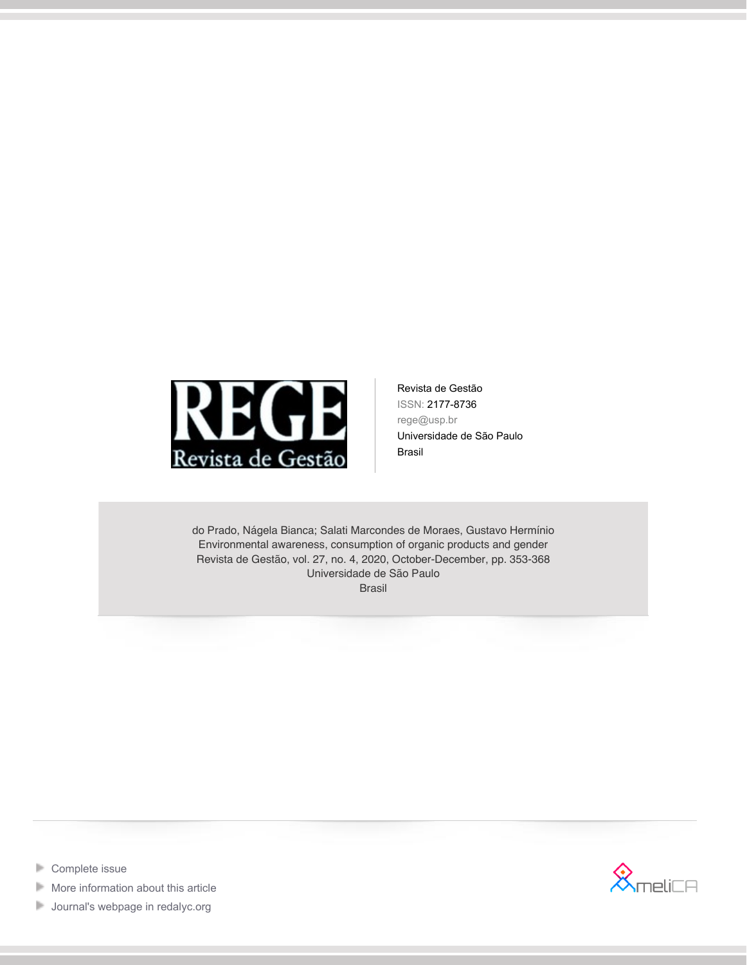

Revista de Gestão ISSN: 2177-8736 rege@usp.br Universidade de São Paulo Brasil

do Prado, Nágela Bianca; Salati Marcondes de Moraes, Gustavo Hermínio Environmental awareness, consumption of organic products and gender Revista de Gestão, vol. 27, no. 4, 2020, October-December, pp. 353-368 Universidade de São Paulo Brasil



- [Complete issue](http://portal.amelica.org/revista.oa?id=154&numero=1910) Þ
- Þ [More information about this article](http://portal.amelica.org/ameli/jatsRepo/154/1541910003)
- [Journal's webpage in redalyc.org](http://portal.amelica.org/revista.oa?id=154)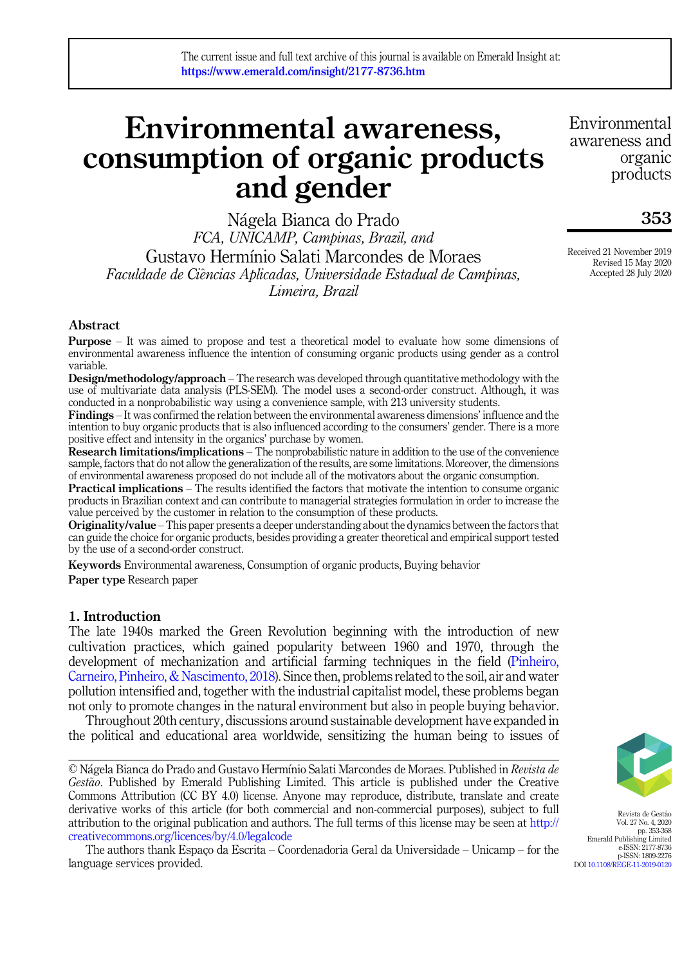# Environmental awareness, consumption of organic products and gender

Nagela Bianca do Prado FCA, UNICAMP, Campinas, Brazil, and Gustavo Hermınio Salati Marcondes de Moraes Faculdade de Ciências Aplicadas, Universidade Estadual de Campinas, Limeira, Brazil

Abstract

Purpose – It was aimed to propose and test a theoretical model to evaluate how some dimensions of environmental awareness influence the intention of consuming organic products using gender as a control variable.

Design/methodology/approach – The research was developed through quantitative methodology with the use of multivariate data analysis (PLS-SEM). The model uses a second-order construct. Although, it was conducted in a nonprobabilistic way using a convenience sample, with 213 university students.

Findings – It was confirmed the relation between the environmental awareness dimensions' influence and the intention to buy organic products that is also influenced according to the consumers' gender. There is a more positive effect and intensity in the organics' purchase by women.

Research limitations/implications – The nonprobabilistic nature in addition to the use of the convenience sample, factors that do not allow the generalization of the results, are some limitations. Moreover, the dimensions of environmental awareness proposed do not include all of the motivators about the organic consumption.

Practical implications – The results identified the factors that motivate the intention to consume organic products in Brazilian context and can contribute to managerial strategies formulation in order to increase the value perceived by the customer in relation to the consumption of these products.

Originality/value –This paper presents a deeper understanding about the dynamics between the factors that can guide the choice for organic products, besides providing a greater theoretical and empirical support tested by the use of a second-order construct.

Keywords Environmental awareness, Consumption of organic products, Buying behavior Paper type Research paper

#### 1. Introduction

The late 1940s marked the Green Revolution beginning with the introduction of new cultivation practices, which gained popularity between 1960 and 1970, through the development of mechanization and artificial farming techniques in the field (Pinheiro, Carneiro, Pinheiro, & Nascimento, 2018). Since then, problems related to the soil, air and water pollution intensified and, together with the industrial capitalist model, these problems began not only to promote changes in the natural environment but also in people buying behavior.

Throughout 20th century, discussions around sustainable development have expanded in the political and educational area worldwide, sensitizing the human being to issues of

© Nágela Bianca do Prado and Gustavo Hermínio Salati Marcondes de Moraes. Published in Revista de Gestão. Published by Emerald Publishing Limited. This article is published under the Creative Commons Attribution (CC BY 4.0) license. Anyone may reproduce, distribute, translate and create derivative works of this article (for both commercial and non-commercial purposes), subject to full attribution to the original publication and authors. The full terms of this license may be seen at [http://](http://creativecommons.org/licences/by/4.0/legalcode) [creativecommons.org/licences/by/4.0/legalcode](http://creativecommons.org/licences/by/4.0/legalcode)

The authors thank Espaço da Escrita – Coordenadoria Geral da Universidade – Unicamp – for the language services provided.

Revista de Gestão Vol. 27 No. 4, 2020 pp. 353-368 Emerald Publishing Limited e-ISSN: 2177-8736 p-ISSN: 1809-2276 DOI [10.1108/REGE-11-2019-0120](https://doi.org/10.1108/REGE-11-2019-0120)

Environmental awareness and organic products

353

Received 21 November 2019 Revised 15 May 2020 Accepted 28 July 2020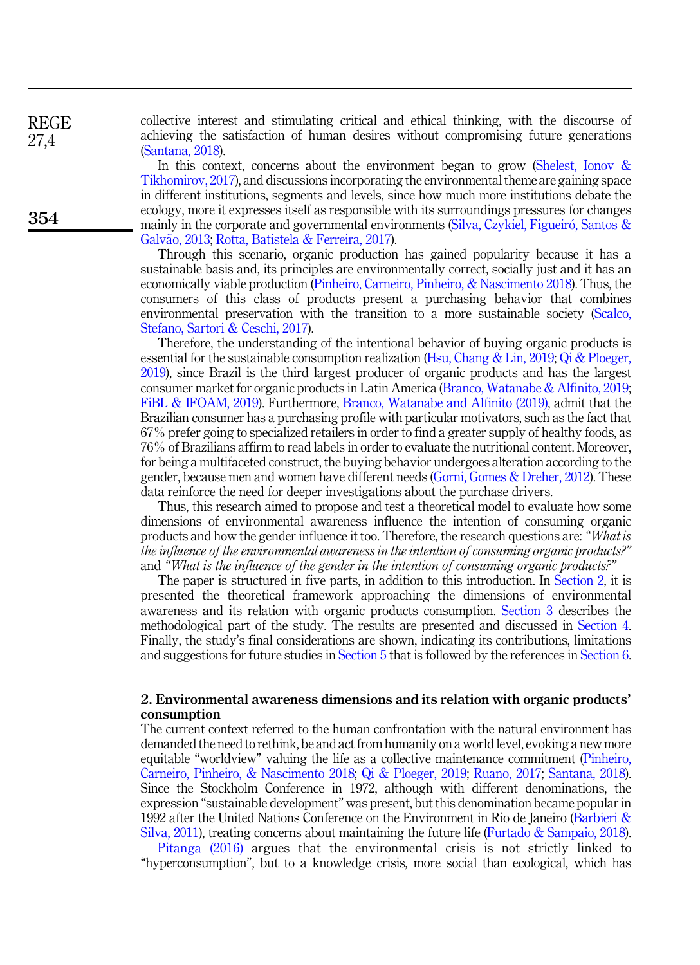collective interest and stimulating critical and ethical thinking, with the discourse of achieving the satisfaction of human desires without compromising future generations (Santana, 2018).

In this context, concerns about the environment began to grow (Shelest, Ionov & Tikhomirov, 2017), and discussions incorporating the environmental theme are gaining space in different institutions, segments and levels, since how much more institutions debate the ecology, more it expresses itself as responsible with its surroundings pressures for changes mainly in the corporate and governmental environments (Silva, Czykiel, Figueiró, Santos & Galvão, 2013; Rotta, Batistela & Ferreira, 2017).

Through this scenario, organic production has gained popularity because it has a sustainable basis and, its principles are environmentally correct, socially just and it has an economically viable production (Pinheiro, Carneiro, Pinheiro, & Nascimento 2018). Thus, the consumers of this class of products present a purchasing behavior that combines environmental preservation with the transition to a more sustainable society (Scalco, Stefano, Sartori & Ceschi, 2017).

Therefore, the understanding of the intentional behavior of buying organic products is essential for the sustainable consumption realization (Hsu, Chang & Lin, 2019; Qi & Ploeger, 2019), since Brazil is the third largest producer of organic products and has the largest consumer market for organic products in Latin America (Branco, Watanabe & Alfinito, 2019; FiBL & IFOAM, 2019). Furthermore, Branco, Watanabe and Alfinito (2019), admit that the Brazilian consumer has a purchasing profile with particular motivators, such as the fact that 67% prefer going to specialized retailers in order to find a greater supply of healthy foods, as 76% of Brazilians affirm to read labels in order to evaluate the nutritional content. Moreover, for being a multifaceted construct, the buying behavior undergoes alteration according to the gender, because men and women have different needs (Gorni, Gomes & Dreher, 2012). These data reinforce the need for deeper investigations about the purchase drivers.

Thus, this research aimed to propose and test a theoretical model to evaluate how some dimensions of environmental awareness influence the intention of consuming organic products and how the gender influence it too. Therefore, the research questions are: "What is the influence of the environmental awareness in the intention of consuming organic products?" and "What is the influence of the gender in the intention of consuming organic products?"

The paper is structured in five parts, in addition to this introduction. In Section 2, it is presented the theoretical framework approaching the dimensions of environmental awareness and its relation with organic products consumption. Section 3 describes the methodological part of the study. The results are presented and discussed in Section 4. Finally, the study's final considerations are shown, indicating its contributions, limitations and suggestions for future studies in Section 5 that is followed by the references in Section 6.

### 2. Environmental awareness dimensions and its relation with organic products' consumption

The current context referred to the human confrontation with the natural environment has demanded the need to rethink, be and act from humanity on a world level, evoking a new more equitable "worldview" valuing the life as a collective maintenance commitment (Pinheiro, Carneiro, Pinheiro, & Nascimento 2018; Qi & Ploeger, 2019; Ruano, 2017; Santana, 2018). Since the Stockholm Conference in 1972, although with different denominations, the expression "sustainable development" was present, but this denomination became popular in 1992 after the United Nations Conference on the Environment in Rio de Janeiro (Barbieri & Silva, 2011), treating concerns about maintaining the future life (Furtado & Sampaio, 2018).

Pitanga (2016) argues that the environmental crisis is not strictly linked to "hyperconsumption", but to a knowledge crisis, more social than ecological, which has

REGE 27,4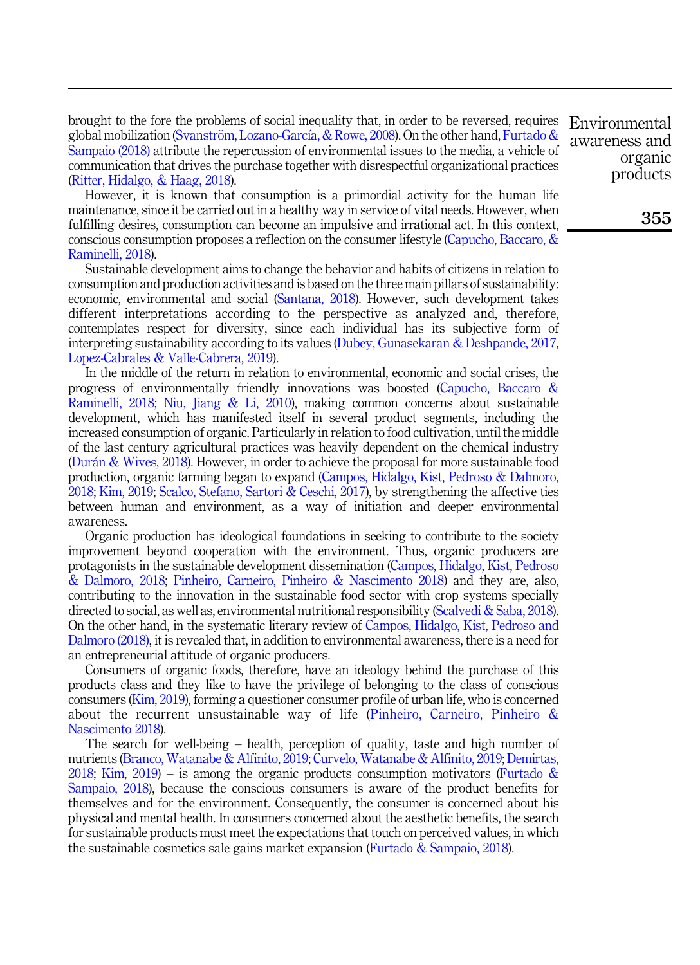brought to the fore the problems of social inequality that, in order to be reversed, requires global mobilization (Svanström, Lozano-García, & Rowe, 2008). On the other hand, Furtado & Sampaio (2018) attribute the repercussion of environmental issues to the media, a vehicle of communication that drives the purchase together with disrespectful organizational practices (Ritter, Hidalgo, & Haag, 2018).

However, it is known that consumption is a primordial activity for the human life maintenance, since it be carried out in a healthy way in service of vital needs. However, when fulfilling desires, consumption can become an impulsive and irrational act. In this context, conscious consumption proposes a reflection on the consumer lifestyle (Capucho, Baccaro, & Raminelli, 2018).

Sustainable development aims to change the behavior and habits of citizens in relation to consumption and production activities and is based on the three main pillars of sustainability: economic, environmental and social (Santana, 2018). However, such development takes different interpretations according to the perspective as analyzed and, therefore, contemplates respect for diversity, since each individual has its subjective form of interpreting sustainability according to its values (Dubey, Gunasekaran & Deshpande, 2017, Lopez-Cabrales & Valle-Cabrera, 2019).

In the middle of the return in relation to environmental, economic and social crises, the progress of environmentally friendly innovations was boosted (Capucho, Baccaro & Raminelli, 2018; Niu, Jiang & Li, 2010), making common concerns about sustainable development, which has manifested itself in several product segments, including the increased consumption of organic. Particularly in relation to food cultivation, until the middle of the last century agricultural practices was heavily dependent on the chemical industry (Duran & Wives, 2018). However, in order to achieve the proposal for more sustainable food production, organic farming began to expand (Campos, Hidalgo, Kist, Pedroso & Dalmoro, 2018; Kim, 2019; Scalco, Stefano, Sartori & Ceschi, 2017), by strengthening the affective ties between human and environment, as a way of initiation and deeper environmental awareness.

Organic production has ideological foundations in seeking to contribute to the society improvement beyond cooperation with the environment. Thus, organic producers are protagonists in the sustainable development dissemination (Campos, Hidalgo, Kist, Pedroso & Dalmoro, 2018; Pinheiro, Carneiro, Pinheiro & Nascimento 2018) and they are, also, contributing to the innovation in the sustainable food sector with crop systems specially directed to social, as well as, environmental nutritional responsibility (Scalvedi & Saba, 2018). On the other hand, in the systematic literary review of Campos, Hidalgo, Kist, Pedroso and Dalmoro (2018), it is revealed that, in addition to environmental awareness, there is a need for an entrepreneurial attitude of organic producers.

Consumers of organic foods, therefore, have an ideology behind the purchase of this products class and they like to have the privilege of belonging to the class of conscious consumers (Kim, 2019), forming a questioner consumer profile of urban life, who is concerned about the recurrent unsustainable way of life (Pinheiro, Carneiro, Pinheiro & Nascimento 2018).

The search for well-being – health, perception of quality, taste and high number of nutrients (Branco, Watanabe & Alfinito, 2019; Curvelo, Watanabe & Alfinito, 2019; Demirtas, 2018; Kim, 2019) – is among the organic products consumption motivators (Furtado & Sampaio, 2018), because the conscious consumers is aware of the product benefits for themselves and for the environment. Consequently, the consumer is concerned about his physical and mental health. In consumers concerned about the aesthetic benefits, the search for sustainable products must meet the expectations that touch on perceived values, in which the sustainable cosmetics sale gains market expansion (Furtado & Sampaio, 2018).

Environmental awareness and organic products

355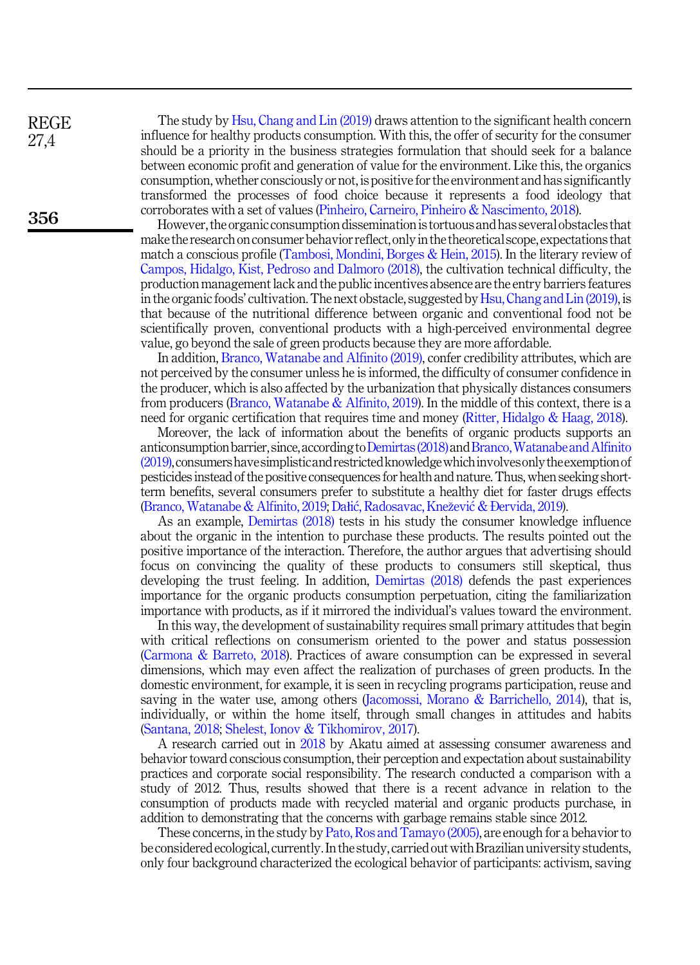REGE 27,4

356

The study by Hsu, Chang and Lin (2019) draws attention to the significant health concern influence for healthy products consumption. With this, the offer of security for the consumer should be a priority in the business strategies formulation that should seek for a balance between economic profit and generation of value for the environment. Like this, the organics consumption, whether consciously or not, is positive for the environment and has significantly transformed the processes of food choice because it represents a food ideology that corroborates with a set of values (Pinheiro, Carneiro, Pinheiro & Nascimento, 2018).

However, the organic consumption dissemination is tortuous and has several obstacles that make the research on consumer behavior reflect, onlyin the theoretical scope, expectations that match a conscious profile (Tambosi, Mondini, Borges & Hein, 2015). In the literary review of Campos, Hidalgo, Kist, Pedroso and Dalmoro (2018), the cultivation technical difficulty, the production management lack and the public incentives absence are the entry barriers features in the organic foods' cultivation. The next obstacle, suggested by Hsu, Chang and Lin (2019), is that because of the nutritional difference between organic and conventional food not be scientifically proven, conventional products with a high-perceived environmental degree value, go beyond the sale of green products because they are more affordable.

In addition, Branco, Watanabe and Alfinito (2019), confer credibility attributes, which are not perceived by the consumer unless he is informed, the difficulty of consumer confidence in the producer, which is also affected by the urbanization that physically distances consumers from producers (Branco, Watanabe  $\&$  Alfinito, 2019). In the middle of this context, there is a need for organic certification that requires time and money (Ritter, Hidalgo & Haag, 2018).

Moreover, the lack of information about the benefits of organic products supports an anticonsumption barrier, since, according to Demirtas (2018) and Branco, Watanabe and Alfinito (2019),consumershavesimplisticand restrictedknowledgewhichinvolvesonly theexemptionof pesticides instead of the positive consequences for health and nature. Thus, when seeking shortterm benefits, several consumers prefer to substitute a healthy diet for faster drugs effects (Branco, Watanabe & Alfinito, 2019; Dałic, Radosavac, Knezevic & Ðervida, 2019).

As an example, Demirtas (2018) tests in his study the consumer knowledge influence about the organic in the intention to purchase these products. The results pointed out the positive importance of the interaction. Therefore, the author argues that advertising should focus on convincing the quality of these products to consumers still skeptical, thus developing the trust feeling. In addition, Demirtas (2018) defends the past experiences importance for the organic products consumption perpetuation, citing the familiarization importance with products, as if it mirrored the individual's values toward the environment.

In this way, the development of sustainability requires small primary attitudes that begin with critical reflections on consumerism oriented to the power and status possession (Carmona & Barreto, 2018). Practices of aware consumption can be expressed in several dimensions, which may even affect the realization of purchases of green products. In the domestic environment, for example, it is seen in recycling programs participation, reuse and saving in the water use, among others (Jacomossi, Morano & Barrichello, 2014), that is, individually, or within the home itself, through small changes in attitudes and habits (Santana, 2018; Shelest, Ionov & Tikhomirov, 2017).

A research carried out in 2018 by Akatu aimed at assessing consumer awareness and behavior toward conscious consumption, their perception and expectation about sustainability practices and corporate social responsibility. The research conducted a comparison with a study of 2012. Thus, results showed that there is a recent advance in relation to the consumption of products made with recycled material and organic products purchase, in addition to demonstrating that the concerns with garbage remains stable since 2012.

These concerns, in the study by Pato, Ros and Tamayo (2005), are enough for a behavior to be considered ecological, currently. In the study, carried out with Brazilian university students, only four background characterized the ecological behavior of participants: activism, saving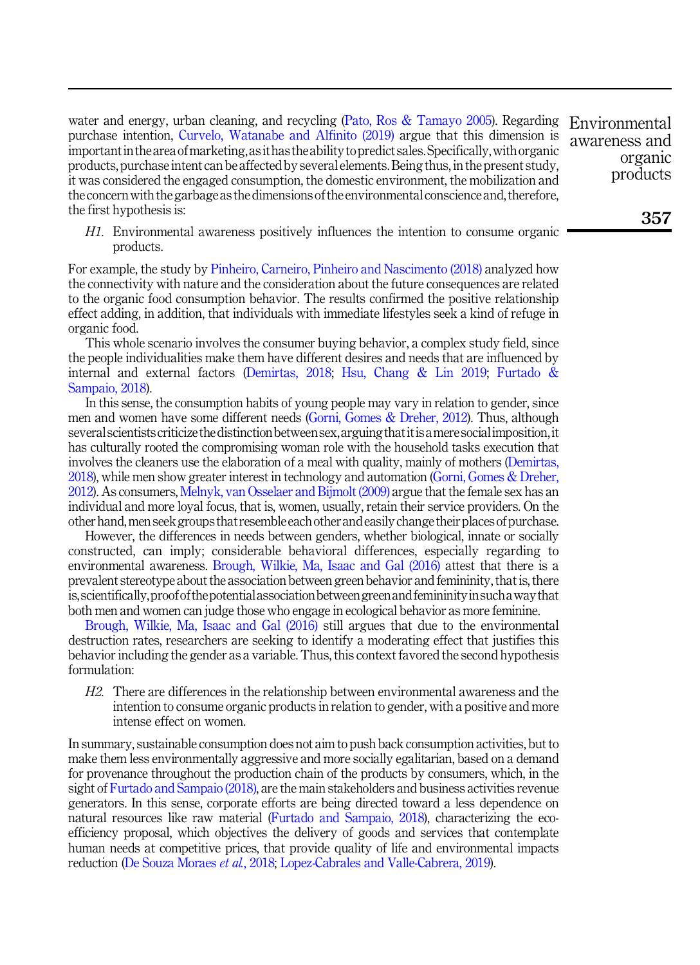water and energy, urban cleaning, and recycling (Pato, Ros & Tamayo 2005). Regarding Environmental purchase intention, Curvelo, Watanabe and Alfinito (2019) argue that this dimension is important in the area of marketing, as it has the ability to predict sales. Specifically, with organic products, purchase intent can be affected by several elements. Being thus, in the present study, it was considered the engaged consumption, the domestic environment, the mobilization and the concern with the garbage as the dimensions of the environmental conscience and, therefore, the first hypothesis is:

H1. Environmental awareness positively influences the intention to consume organic products.

For example, the study by Pinheiro, Carneiro, Pinheiro and Nascimento (2018) analyzed how the connectivity with nature and the consideration about the future consequences are related to the organic food consumption behavior. The results confirmed the positive relationship effect adding, in addition, that individuals with immediate lifestyles seek a kind of refuge in organic food.

This whole scenario involves the consumer buying behavior, a complex study field, since the people individualities make them have different desires and needs that are influenced by internal and external factors (Demirtas, 2018; Hsu, Chang & Lin 2019; Furtado & Sampaio, 2018).

In this sense, the consumption habits of young people may vary in relation to gender, since men and women have some different needs (Gorni, Gomes & Dreher, 2012). Thus, although several scientists criticize the distinction between sex, arguing that it is a mere social imposition, it has culturally rooted the compromising woman role with the household tasks execution that involves the cleaners use the elaboration of a meal with quality, mainly of mothers (Demirtas, 2018), while men show greater interest in technology and automation (Gorni, Gomes & Dreher, 2012). As consumers, Melnyk, van Osselaer and Bijmolt (2009) argue that the female sex has an individual and more loyal focus, that is, women, usually, retain their service providers. On the other hand,men seek groups that resemble each otherand easily change their places of purchase.

However, the differences in needs between genders, whether biological, innate or socially constructed, can imply; considerable behavioral differences, especially regarding to environmental awareness. Brough, Wilkie, Ma, Isaac and Gal (2016) attest that there is a prevalent stereotype about the association between green behavior and femininity, that is, there is,scientifically,proofof thepotentialassociationbetweengreenand femininityinsuchaway that both men and women can judge those who engage in ecological behavior as more feminine.

Brough, Wilkie, Ma, Isaac and Gal (2016) still argues that due to the environmental destruction rates, researchers are seeking to identify a moderating effect that justifies this behavior including the gender as a variable. Thus, this context favored the second hypothesis formulation:

H2. There are differences in the relationship between environmental awareness and the intention to consume organic products in relation to gender, with a positive and more intense effect on women.

In summary, sustainable consumption does not aim to push back consumption activities, but to make them less environmentally aggressive and more socially egalitarian, based on a demand for provenance throughout the production chain of the products by consumers, which, in the sight of Furtado and Sampaio (2018), are the main stakeholders and business activities revenue generators. In this sense, corporate efforts are being directed toward a less dependence on natural resources like raw material (Furtado and Sampaio, 2018), characterizing the ecoefficiency proposal, which objectives the delivery of goods and services that contemplate human needs at competitive prices, that provide quality of life and environmental impacts reduction (De Souza Moraes et al., 2018; Lopez-Cabrales and Valle-Cabrera, 2019).

awareness and organic products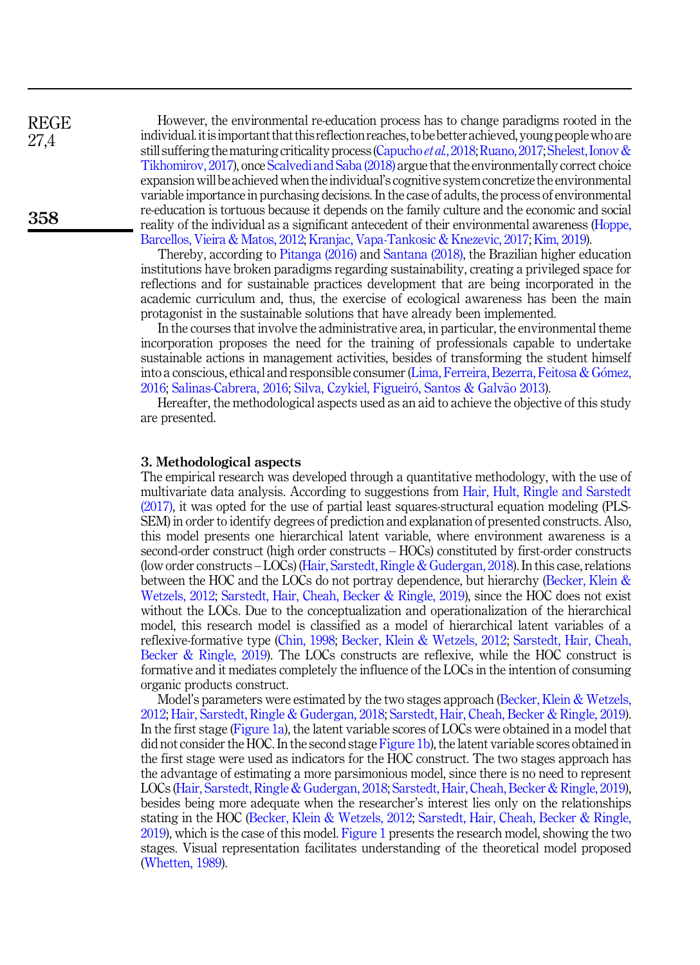However, the environmental re-education process has to change paradigms rooted in the individual.itisimportant that this reflection reaches, to be betterachieved, young peoplewho are still suffering the maturing criticality process (Capucho *et al.*, 2018; Ruano, 2017; Shelest, Ionov & Tikhomirov, 2017), once Scalvedi and Saba (2018) argue that the environmentally correct choice expansion will be achieved when the individual's cognitive system concretize the environmental variable importance in purchasing decisions. In the case of adults, the process of environmental re-education is tortuous because it depends on the family culture and the economic and social reality of the individual as a significant antecedent of their environmental awareness (Hoppe, Barcellos, Vieira & Matos, 2012; Kranjac, Vapa-Tankosic & Knezevic, 2017; Kim, 2019).

Thereby, according to Pitanga (2016) and Santana (2018), the Brazilian higher education institutions have broken paradigms regarding sustainability, creating a privileged space for reflections and for sustainable practices development that are being incorporated in the academic curriculum and, thus, the exercise of ecological awareness has been the main protagonist in the sustainable solutions that have already been implemented.

In the courses that involve the administrative area, in particular, the environmental theme incorporation proposes the need for the training of professionals capable to undertake sustainable actions in management activities, besides of transforming the student himself into a conscious, ethical and responsible consumer (Lima, Ferreira, Bezerra, Feitosa & Gomez, 2016; Salinas-Cabrera, 2016; Silva, Czykiel, Figueiró, Santos & Galvão 2013).

Hereafter, the methodological aspects used as an aid to achieve the objective of this study are presented.

#### 3. Methodological aspects

The empirical research was developed through a quantitative methodology, with the use of multivariate data analysis. According to suggestions from Hair, Hult, Ringle and Sarstedt (2017), it was opted for the use of partial least squares-structural equation modeling (PLS-SEM) in order to identify degrees of prediction and explanation of presented constructs. Also, this model presents one hierarchical latent variable, where environment awareness is a second-order construct (high order constructs – HOCs) constituted by first-order constructs (low order constructs – LOCs) (Hair, Sarstedt, Ringle & Gudergan, 2018). In this case, relations between the HOC and the LOCs do not portray dependence, but hierarchy (Becker, Klein & Wetzels, 2012; Sarstedt, Hair, Cheah, Becker & Ringle, 2019), since the HOC does not exist without the LOCs. Due to the conceptualization and operationalization of the hierarchical model, this research model is classified as a model of hierarchical latent variables of a reflexive-formative type (Chin, 1998; Becker, Klein & Wetzels, 2012; Sarstedt, Hair, Cheah, Becker & Ringle, 2019). The LOCs constructs are reflexive, while the HOC construct is formative and it mediates completely the influence of the LOCs in the intention of consuming organic products construct.

Model's parameters were estimated by the two stages approach (Becker, Klein & Wetzels, 2012; Hair, Sarstedt, Ringle & Gudergan, 2018; Sarstedt, Hair, Cheah, Becker & Ringle, 2019). In the first stage (Figure 1a), the latent variable scores of LOCs were obtained in a model that did not consider the HOC. In the second stage Figure 1b), the latent variable scores obtained in the first stage were used as indicators for the HOC construct. The two stages approach has the advantage of estimating a more parsimonious model, since there is no need to represent LOCs (Hair, Sarstedt, Ringle & Gudergan, 2018; Sarstedt, Hair, Cheah, Becker & Ringle, 2019), besides being more adequate when the researcher's interest lies only on the relationships stating in the HOC (Becker, Klein & Wetzels, 2012; Sarstedt, Hair, Cheah, Becker & Ringle, 2019), which is the case of this model. Figure 1 presents the research model, showing the two stages. Visual representation facilitates understanding of the theoretical model proposed (Whetten, 1989).

REGE 27,4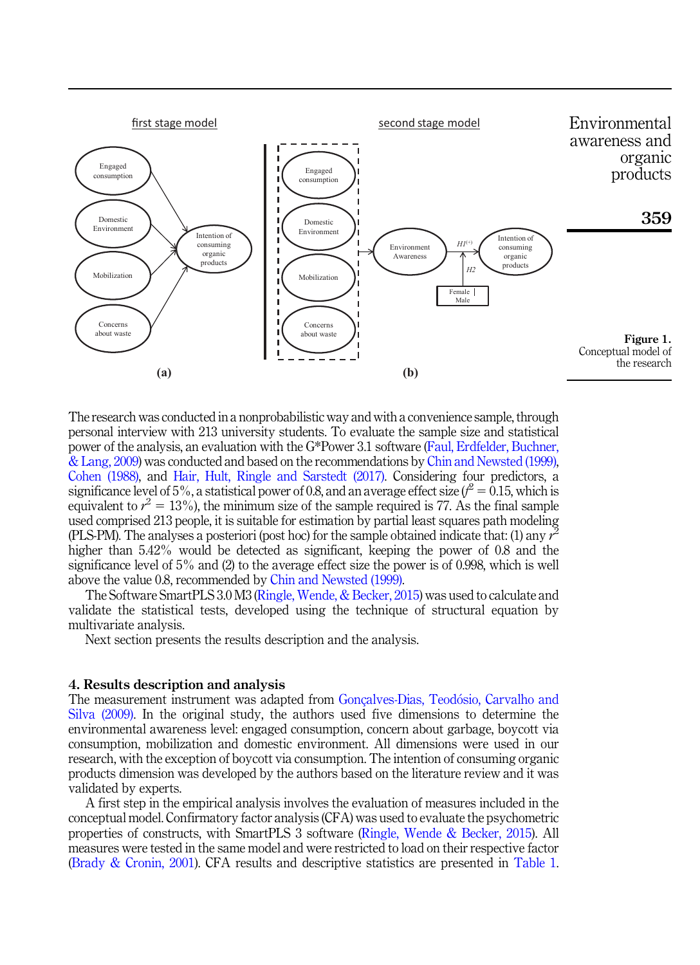

The research was conducted in a nonprobabilistic way and with a convenience sample, through personal interview with 213 university students. To evaluate the sample size and statistical power of the analysis, an evaluation with the G\*Power 3.1 software (Faul, Erdfelder, Buchner, & Lang, 2009) was conducted and based on the recommendations by Chin and Newsted (1999), Cohen (1988), and Hair, Hult, Ringle and Sarstedt (2017). Considering four predictors, a significance level of 5%, a statistical power of 0.8, and an average effect size ( $t^2=0.15$ , which is equivalent to  $r^2 = 13\%$ , the minimum size of the sample required is 77. As the final sample used comprised 213 people, it is suitable for estimation by partial least squares path modeling (PLS-PM). The analyses a posteriori (post hoc) for the sample obtained indicate that: (1) any  $\tilde{r}$ higher than 5.42% would be detected as significant, keeping the power of 0.8 and the significance level of 5% and (2) to the average effect size the power is of 0.998, which is well above the value 0.8, recommended by Chin and Newsted (1999).

The Software SmartPLS 3.0 M3 (Ringle, Wende, & Becker, 2015) was used to calculate and validate the statistical tests, developed using the technique of structural equation by multivariate analysis.

Next section presents the results description and the analysis.

#### 4. Results description and analysis

The measurement instrument was adapted from Gonçalves-Dias, Teodosio, Carvalho and Silva (2009). In the original study, the authors used five dimensions to determine the environmental awareness level: engaged consumption, concern about garbage, boycott via consumption, mobilization and domestic environment. All dimensions were used in our research, with the exception of boycott via consumption. The intention of consuming organic products dimension was developed by the authors based on the literature review and it was validated by experts.

A first step in the empirical analysis involves the evaluation of measures included in the conceptual model. Confirmatory factor analysis (CFA) was used to evaluate the psychometric properties of constructs, with SmartPLS 3 software (Ringle, Wende & Becker, 2015). All measures were tested in the same model and were restricted to load on their respective factor (Brady & Cronin, 2001). CFA results and descriptive statistics are presented in Table 1.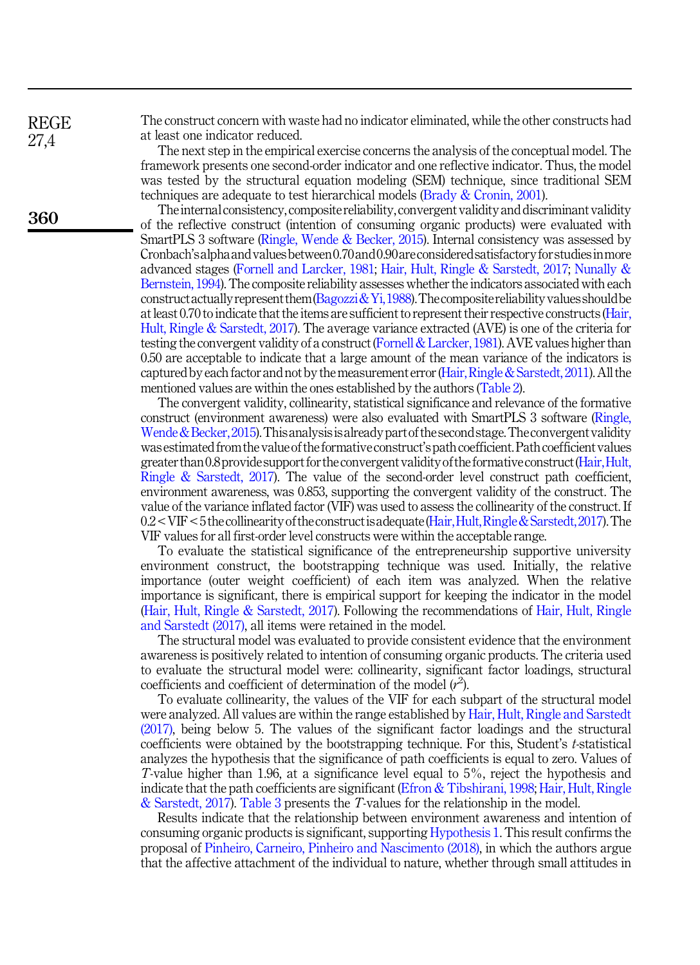REGE 27,4

360

The construct concern with waste had no indicator eliminated, while the other constructs had at least one indicator reduced.

The next step in the empirical exercise concerns the analysis of the conceptual model. The framework presents one second-order indicator and one reflective indicator. Thus, the model was tested by the structural equation modeling (SEM) technique, since traditional SEM techniques are adequate to test hierarchical models (Brady & Cronin, 2001).

Theinternal consistency, composite reliability, convergent validity and discriminant validity of the reflective construct (intention of consuming organic products) were evaluated with SmartPLS 3 software (Ringle, Wende & Becker, 2015). Internal consistency was assessed by Cronbach'salphaandvaluesbetween0.70and0.90areconsideredsatisfactory forstudiesinmore advanced stages (Fornell and Larcker, 1981; Hair, Hult, Ringle & Sarstedt, 2017; Nunally & Bernstein, 1994). The composite reliability assesses whether the indicators associated with each construct actually represent them  $\beta$ agozzi & Yi, 1988). The composite reliability values should be at least 0.70 to indicate that the items are sufficient to represent their respective constructs (Hair, Hult, Ringle & Sarstedt, 2017). The average variance extracted (AVE) is one of the criteria for testing the convergent validity of a construct (Fornell & Larcker, 1981). AVE values higher than 0.50 are acceptable to indicate that a large amount of the mean variance of the indicators is captured by each factor and not by themeasurement error (Hair, Ringle& Sarstedt, 2011). All the mentioned values are within the ones established by the authors (Table 2).

The convergent validity, collinearity, statistical significance and relevance of the formative construct (environment awareness) were also evaluated with SmartPLS 3 software (Ringle, Wende & Becker, 2015). This analysis is already part of the second stage. The convergent validity was estimated from the valueof the formativeconstruct's path coefficient. Path coefficient values greater than 0.8 provide support for the convergent validity of the formative construct (Hair, Hult, Ringle & Sarstedt, 2017). The value of the second-order level construct path coefficient, environment awareness, was 0.853, supporting the convergent validity of the construct. The value of the variance inflated factor (VIF) was used to assess the collinearity of the construct. If  $0.2 <$  VIF  $<$  5 the collinearity of the construct is adequate (Hair, Hult, Ringle & Sarstedt, 2017). The VIF values for all first-order level constructs were within the acceptable range.

To evaluate the statistical significance of the entrepreneurship supportive university environment construct, the bootstrapping technique was used. Initially, the relative importance (outer weight coefficient) of each item was analyzed. When the relative importance is significant, there is empirical support for keeping the indicator in the model (Hair, Hult, Ringle & Sarstedt, 2017). Following the recommendations of Hair, Hult, Ringle and Sarstedt (2017), all items were retained in the model.

The structural model was evaluated to provide consistent evidence that the environment awareness is positively related to intention of consuming organic products. The criteria used to evaluate the structural model were: collinearity, significant factor loadings, structural coefficients and coefficient of determination of the model  $(r^2)$ .

To evaluate collinearity, the values of the VIF for each subpart of the structural model were analyzed. All values are within the range established by Hair, Hult, Ringle and Sarstedt (2017), being below 5. The values of the significant factor loadings and the structural coefficients were obtained by the bootstrapping technique. For this, Student's t-statistical analyzes the hypothesis that the significance of path coefficients is equal to zero. Values of T-value higher than 1.96, at a significance level equal to 5%, reject the hypothesis and indicate that the path coefficients are significant (Efron & Tibshirani, 1998; Hair, Hult, Ringle & Sarstedt, 2017). Table 3 presents the T-values for the relationship in the model.

Results indicate that the relationship between environment awareness and intention of consuming organic products is significant, supporting Hypothesis 1. This result confirms the proposal of Pinheiro, Carneiro, Pinheiro and Nascimento (2018), in which the authors argue that the affective attachment of the individual to nature, whether through small attitudes in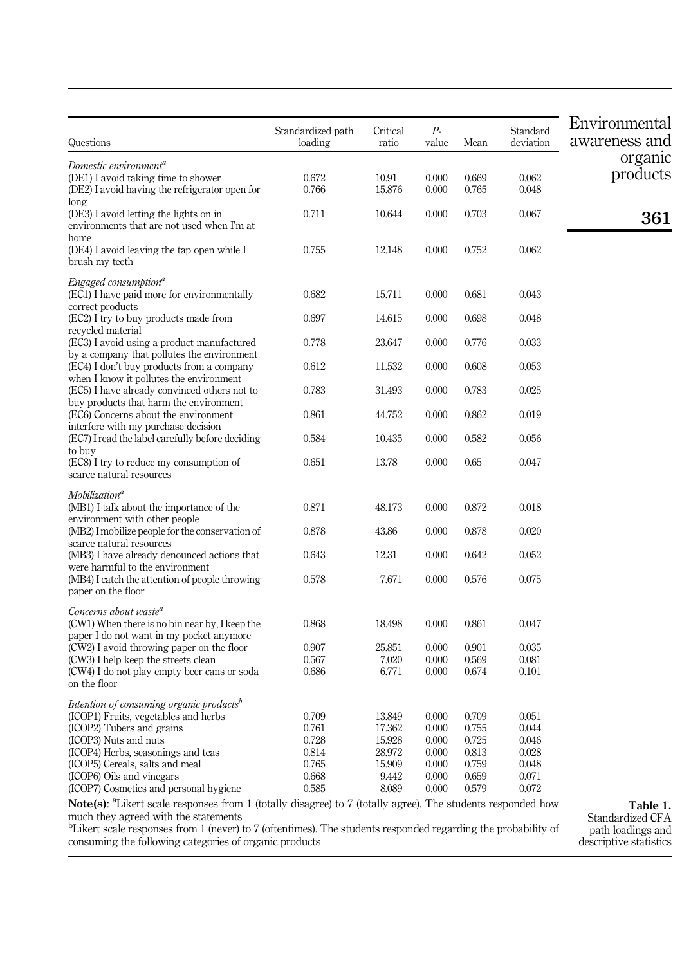| Questions                                                                                                                                                       | Standardized path<br>loading | Critical<br>ratio | Р-<br>value | Mean  | Standard<br>deviation | Environmental<br>awareness and |
|-----------------------------------------------------------------------------------------------------------------------------------------------------------------|------------------------------|-------------------|-------------|-------|-----------------------|--------------------------------|
| Domestic environment <sup>a</sup>                                                                                                                               |                              |                   |             |       |                       | organic                        |
| (DE1) I avoid taking time to shower                                                                                                                             | 0.672                        | 10.91             | 0.000       | 0.669 | 0.062                 | products                       |
| (DE2) I avoid having the refrigerator open for                                                                                                                  | 0.766                        | 15.876            | 0.000       | 0.765 | 0.048                 |                                |
| long                                                                                                                                                            |                              |                   |             |       |                       |                                |
| (DE3) I avoid letting the lights on in<br>environments that are not used when I'm at                                                                            | 0.711                        | 10.644            | 0.000       | 0.703 | 0.067                 | 361                            |
| home                                                                                                                                                            |                              |                   |             |       |                       |                                |
| (DE4) I avoid leaving the tap open while I                                                                                                                      | 0.755                        | 12.148            | 0.000       | 0.752 | 0.062                 |                                |
| brush my teeth                                                                                                                                                  |                              |                   |             |       |                       |                                |
| Engaged consumption <sup>a</sup>                                                                                                                                |                              |                   |             |       |                       |                                |
| (EC1) I have paid more for environmentally                                                                                                                      | 0.682                        | 15.711            | 0.000       | 0.681 | 0.043                 |                                |
| correct products                                                                                                                                                |                              |                   |             |       |                       |                                |
| (EC2) I try to buy products made from                                                                                                                           | 0.697                        | 14.615            | 0.000       | 0.698 | 0.048                 |                                |
| recycled material                                                                                                                                               |                              |                   |             |       |                       |                                |
| (EC3) I avoid using a product manufactured                                                                                                                      | 0.778                        | 23.647            | 0.000       | 0.776 | 0.033                 |                                |
| by a company that pollutes the environment                                                                                                                      |                              |                   |             |       |                       |                                |
| (EC4) I don't buy products from a company                                                                                                                       | 0.612                        | 11.532            | 0.000       | 0.608 | 0.053                 |                                |
| when I know it pollutes the environment<br>(EC5) I have already convinced others not to                                                                         | 0.783                        | 31.493            | 0.000       | 0.783 | 0.025                 |                                |
| buy products that harm the environment                                                                                                                          |                              |                   |             |       |                       |                                |
| (EC6) Concerns about the environment                                                                                                                            | 0.861                        | 44.752            | 0.000       | 0.862 | 0.019                 |                                |
| interfere with my purchase decision                                                                                                                             |                              |                   |             |       |                       |                                |
| (EC7) I read the label carefully before deciding                                                                                                                | 0.584                        | 10.435            | 0.000       | 0.582 | 0.056                 |                                |
| to buy                                                                                                                                                          |                              |                   |             |       |                       |                                |
| (EC8) I try to reduce my consumption of                                                                                                                         | 0.651                        | 13.78             | 0.000       | 0.65  | 0.047                 |                                |
| scarce natural resources                                                                                                                                        |                              |                   |             |       |                       |                                |
| $M$ obilization <sup>a</sup>                                                                                                                                    |                              |                   |             |       |                       |                                |
| (MB1) I talk about the importance of the                                                                                                                        | 0.871                        | 48.173            | 0.000       | 0.872 | 0.018                 |                                |
| environment with other people                                                                                                                                   |                              |                   |             |       |                       |                                |
| (MB2) I mobilize people for the conservation of                                                                                                                 | 0.878                        | 43.86             | 0.000       | 0.878 | 0.020                 |                                |
| scarce natural resources<br>(MB3) I have already denounced actions that                                                                                         | 0.643                        | 12.31             | 0.000       | 0.642 | 0.052                 |                                |
| were harmful to the environment                                                                                                                                 |                              |                   |             |       |                       |                                |
| (MB4) I catch the attention of people throwing                                                                                                                  | 0.578                        | 7.671             | 0.000       | 0.576 | 0.075                 |                                |
| paper on the floor                                                                                                                                              |                              |                   |             |       |                       |                                |
|                                                                                                                                                                 |                              |                   |             |       |                       |                                |
| Concerns about waste <sup>a</sup>                                                                                                                               |                              |                   | 0.000       | 0.861 |                       |                                |
| (CW1) When there is no bin near by, I keep the<br>paper I do not want in my pocket anymore                                                                      | 0.868                        | 18.498            |             |       | 0.047                 |                                |
| (CW2) I avoid throwing paper on the floor                                                                                                                       | 0.907                        | 25.851            | 0.000       | 0.901 | 0.035                 |                                |
| (CW3) I help keep the streets clean                                                                                                                             | 0.567                        | 7.020             | 0.000       | 0.569 | 0.081                 |                                |
| (CW4) I do not play empty beer cans or soda                                                                                                                     | 0.686                        | 6.771             | 0.000       | 0.674 | 0.101                 |                                |
| on the floor                                                                                                                                                    |                              |                   |             |       |                       |                                |
| Intention of consuming organic products <sup>b</sup>                                                                                                            |                              |                   |             |       |                       |                                |
| (ICOP1) Fruits, vegetables and herbs                                                                                                                            | 0.709                        | 13.849            | 0.000       | 0.709 | 0.051                 |                                |
| (ICOP2) Tubers and grains                                                                                                                                       | 0.761                        | 17.362            | 0.000       | 0.755 | 0.044                 |                                |
| (ICOP3) Nuts and nuts                                                                                                                                           | 0.728                        | 15.928            | 0.000       | 0.725 | 0.046                 |                                |
| (ICOP4) Herbs, seasonings and teas                                                                                                                              | 0.814                        | 28.972            | 0.000       | 0.813 | 0.028                 |                                |
| (ICOP5) Cereals, salts and meal                                                                                                                                 | 0.765                        | 15.909            | 0.000       | 0.759 | 0.048                 |                                |
| (ICOP6) Oils and vinegars                                                                                                                                       | 0.668                        | 9.442             | 0.000       | 0.659 | 0.071                 |                                |
| (ICOP7) Cosmetics and personal hygiene                                                                                                                          | 0.585                        | 8.089             | 0.000       | 0.579 | 0.072                 |                                |
| Note(s): <sup>a</sup> Likert scale responses from 1 (totally disagree) to 7 (totally agree). The students responded how<br>much they agreed with the statements |                              |                   |             |       |                       | Table 1.<br>Standardized CFA   |

much they agreed with the statements b Likert scale responses from 1 (never) to 7 (oftentimes). The students responded regarding the probability of consuming the following categories of organic products

Standardized CFA path loadings and descriptive statistics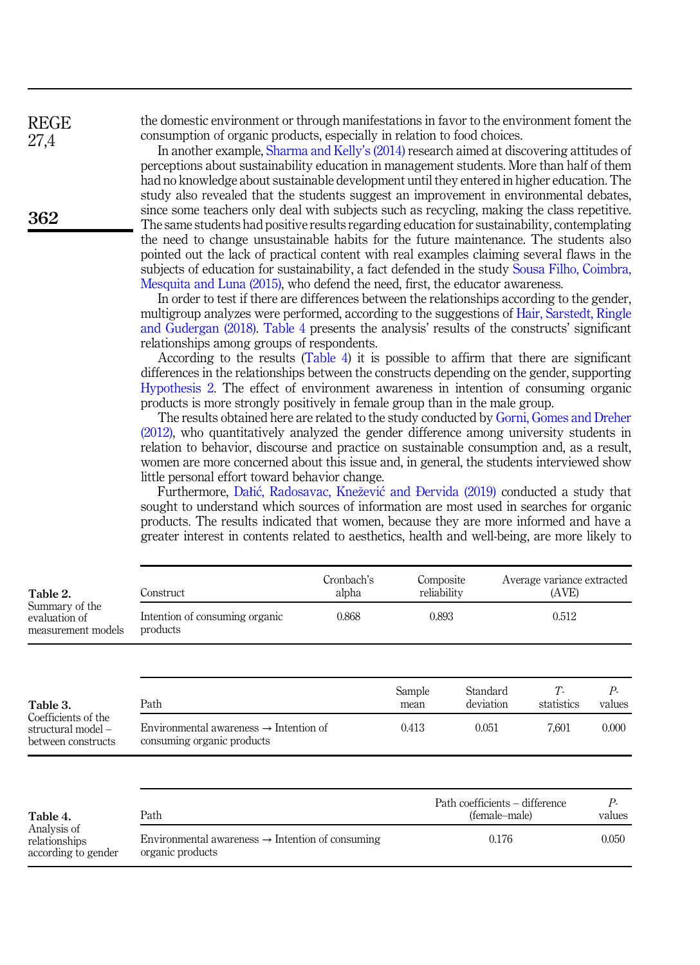the domestic environment or through manifestations in favor to the environment foment the consumption of organic products, especially in relation to food choices.

In another example, Sharma and Kelly's (2014) research aimed at discovering attitudes of perceptions about sustainability education in management students. More than half of them had no knowledge about sustainable development until they entered in higher education. The study also revealed that the students suggest an improvement in environmental debates, since some teachers only deal with subjects such as recycling, making the class repetitive. The same students had positive results regarding education for sustainability, contemplating the need to change unsustainable habits for the future maintenance. The students also pointed out the lack of practical content with real examples claiming several flaws in the subjects of education for sustainability, a fact defended in the study Sousa Filho, Coimbra, Mesquita and Luna (2015), who defend the need, first, the educator awareness.

In order to test if there are differences between the relationships according to the gender, multigroup analyzes were performed, according to the suggestions of Hair, Sarstedt, Ringle and Gudergan (2018). Table 4 presents the analysis' results of the constructs' significant relationships among groups of respondents.

According to the results (Table 4) it is possible to affirm that there are significant differences in the relationships between the constructs depending on the gender, supporting Hypothesis 2. The effect of environment awareness in intention of consuming organic products is more strongly positively in female group than in the male group.

The results obtained here are related to the study conducted by Gorni, Gomes and Dreher (2012), who quantitatively analyzed the gender difference among university students in relation to behavior, discourse and practice on sustainable consumption and, as a result, women are more concerned about this issue and, in general, the students interviewed show little personal effort toward behavior change.

Furthermore, Dałic, Radosavac, Knezevic and Ðervida (2019) conducted a study that sought to understand which sources of information are most used in searches for organic products. The results indicated that women, because they are more informed and have a greater interest in contents related to aesthetics, health and well-being, are more likely to

| Table 2.                                                                    | Construct                                                                        | Cronbach's<br>alpha |                                                 | Composite<br>reliability |            | Average variance extracted<br>(AVE) |  |
|-----------------------------------------------------------------------------|----------------------------------------------------------------------------------|---------------------|-------------------------------------------------|--------------------------|------------|-------------------------------------|--|
| Summary of the<br>evaluation of<br>measurement models                       | Intention of consuming organic<br>products                                       | 0.868               |                                                 | 0.893                    | 0.512      |                                     |  |
|                                                                             |                                                                                  |                     | Sample                                          | Standard                 | T          | $P_{-}$                             |  |
| Table 3.<br>Coefficients of the<br>structural model -<br>between constructs | Path                                                                             |                     | mean                                            | deviation                | statistics | values                              |  |
|                                                                             | Environmental awareness $\rightarrow$ Intention of<br>consuming organic products |                     | 0.413                                           | 0.051                    | 7,601      | 0.000                               |  |
|                                                                             |                                                                                  |                     |                                                 |                          |            |                                     |  |
| Table 4.<br>Analysis of<br>relationships<br>according to gender             | Path                                                                             |                     | Path coefficients - difference<br>(female–male) |                          |            | $P_{-}$<br>values                   |  |
|                                                                             | Environmental awareness $\rightarrow$ Intention of consuming<br>organic products |                     |                                                 | 0.176                    |            | 0.050                               |  |
|                                                                             |                                                                                  |                     |                                                 |                          |            |                                     |  |

362

REGE 27,4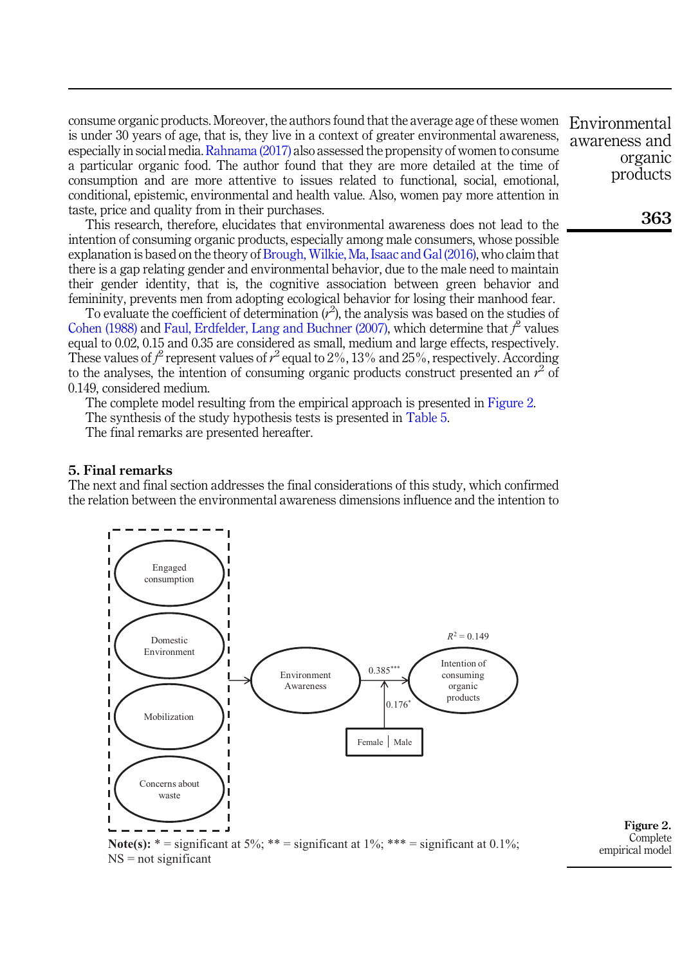consume organic products. Moreover, the authors found that the average age of these women Environmental is under 30 years of age, that is, they live in a context of greater environmental awareness, especially in social media. Rahnama (2017) also assessed the propensity of women to consume a particular organic food. The author found that they are more detailed at the time of consumption and are more attentive to issues related to functional, social, emotional, conditional, epistemic, environmental and health value. Also, women pay more attention in taste, price and quality from in their purchases.

This research, therefore, elucidates that environmental awareness does not lead to the intention of consuming organic products, especially among male consumers, whose possible explanation is based on the theory of Brough, Wilkie, Ma, Isaac and Gal (2016), who claim that there is a gap relating gender and environmental behavior, due to the male need to maintain their gender identity, that is, the cognitive association between green behavior and femininity, prevents men from adopting ecological behavior for losing their manhood fear.

To evaluate the coefficient of determination  $(r^2)$ , the analysis was based on the studies of Cohen (1988) and Faul, Erdfelder, Lang and Buchner (2007), which determine that  $f^2$  values equal to 0.02, 0.15 and 0.35 are considered as small, medium and large effects, respectively. These values of  $r^2$  represent values of  $r^2$  equal to 2%, 13% and 25%, respectively. According to the analyses, the intention of consuming organic products construct presented an  $r^2$  of 0.149, considered medium.

The complete model resulting from the empirical approach is presented in Figure 2.

The synthesis of the study hypothesis tests is presented in Table 5.

The final remarks are presented hereafter.

## 5. Final remarks

The next and final section addresses the final considerations of this study, which confirmed the relation between the environmental awareness dimensions influence and the intention to



Figure 2. **Complete** empirical model

awareness and organic products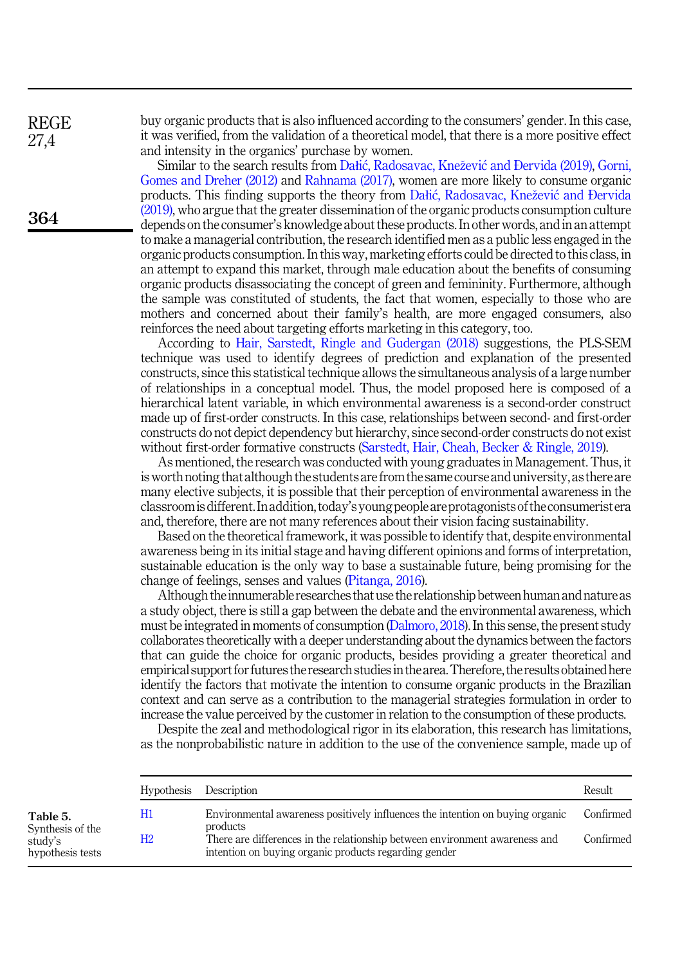REGE 27,4

364

buy organic products that is also influenced according to the consumers' gender. In this case, it was verified, from the validation of a theoretical model, that there is a more positive effect and intensity in the organics' purchase by women.

Similar to the search results from Dałic, Radosavac, Knezevic and Ðervida (2019), Gorni, Gomes and Dreher (2012) and Rahnama (2017), women are more likely to consume organic products. This finding supports the theory from Dałic, Radosavac, Knezevic and Ðervida (2019), who argue that the greater dissemination of the organic products consumption culture depends on the consumer's knowledge about these products. In other words, and in an attempt to make a managerial contribution, the research identified men as a public less engaged in the organic products consumption. In this way, marketing efforts could be directed to this class, in an attempt to expand this market, through male education about the benefits of consuming organic products disassociating the concept of green and femininity. Furthermore, although the sample was constituted of students, the fact that women, especially to those who are mothers and concerned about their family's health, are more engaged consumers, also reinforces the need about targeting efforts marketing in this category, too.

According to Hair, Sarstedt, Ringle and Gudergan (2018) suggestions, the PLS-SEM technique was used to identify degrees of prediction and explanation of the presented constructs, since this statistical technique allows the simultaneous analysis of a large number of relationships in a conceptual model. Thus, the model proposed here is composed of a hierarchical latent variable, in which environmental awareness is a second-order construct made up of first-order constructs. In this case, relationships between second- and first-order constructs do not depict dependency but hierarchy, since second-order constructs do not exist without first-order formative constructs (Sarstedt, Hair, Cheah, Becker & Ringle, 2019).

As mentioned, the research was conducted with young graduates in Management. Thus, it is worth noting that although the students are from the same course and university, as there are many elective subjects, it is possible that their perception of environmental awareness in the classroomis different. Inaddition, today's young peopleare protagonists of the consumerist era and, therefore, there are not many references about their vision facing sustainability.

Based on the theoretical framework, it was possible to identify that, despite environmental awareness being in its initial stage and having different opinions and forms of interpretation, sustainable education is the only way to base a sustainable future, being promising for the change of feelings, senses and values (Pitanga, 2016).

Although theinnumerable researches that use the relationship between human and nature as a study object, there is still a gap between the debate and the environmental awareness, which must be integrated in moments of consumption (Dalmoro, 2018). In this sense, the present study collaborates theoretically with a deeper understanding about the dynamics between the factors that can guide the choice for organic products, besides providing a greater theoretical and empirical support for futures the research studiesin thearea.Therefore, the results obtained here identify the factors that motivate the intention to consume organic products in the Brazilian context and can serve as a contribution to the managerial strategies formulation in order to increase the value perceived by the customer in relation to the consumption of these products.

Despite the zeal and methodological rigor in its elaboration, this research has limitations, as the nonprobabilistic nature in addition to the use of the convenience sample, made up of

|                                                             | <b>Hypothesis</b> | Description                                                                                                                          | Result    |
|-------------------------------------------------------------|-------------------|--------------------------------------------------------------------------------------------------------------------------------------|-----------|
| Table 5.<br>Synthesis of the<br>study's<br>hypothesis tests | Η1                | Environmental awareness positively influences the intention on buying organic<br>products                                            | Confirmed |
|                                                             | H2                | There are differences in the relationship between environment awareness and<br>intention on buying organic products regarding gender | Confirmed |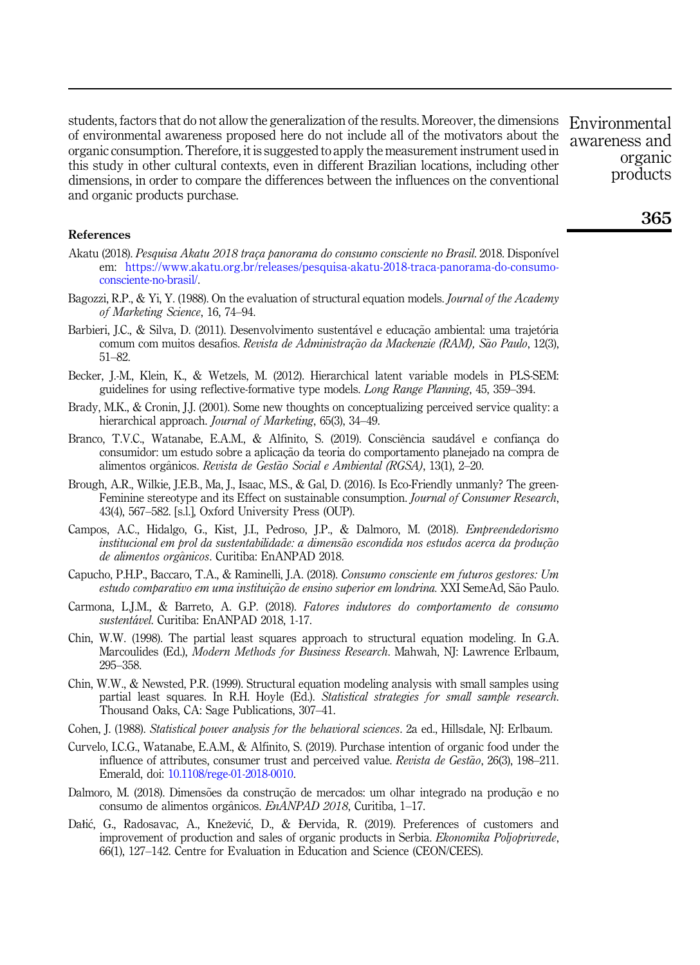students, factors that do not allow the generalization of the results. Moreover, the dimensions of environmental awareness proposed here do not include all of the motivators about the organic consumption. Therefore, it is suggested to apply the measurement instrument used in this study in other cultural contexts, even in different Brazilian locations, including other dimensions, in order to compare the differences between the influences on the conventional and organic products purchase.

Environmental awareness and organic products

#### References

- Akatu (2018). Pesquisa Akatu 2018 traça panorama do consumo consciente no Brasil. 2018. Disponıvel em: [https://www.akatu.org.br/releases/pesquisa-akatu-2018-traca-panorama-do-consumo](%20https://www.akatu.org.br/releases/pesquisa-akatu-2018-traca-panorama-do-consumo-consciente-no-brasil/)[consciente-no-brasil/](%20https://www.akatu.org.br/releases/pesquisa-akatu-2018-traca-panorama-do-consumo-consciente-no-brasil/).
- Bagozzi, R.P., & Yi, Y. (1988). On the evaluation of structural equation models. Journal of the Academy of Marketing Science, 16, 74–94.
- Barbieri, J.C., & Silva, D. (2011). Desenvolvimento sustentável e educação ambiental: uma trajetória comum com muitos desafios. Revista de Administração da Mackenzie (RAM), São Paulo, 12(3), 51–82.
- Becker, J.-M., Klein, K., & Wetzels, M. (2012). Hierarchical latent variable models in PLS-SEM: guidelines for using reflective-formative type models. Long Range Planning, 45, 359–394.
- Brady, M.K., & Cronin, J.J. (2001). Some new thoughts on conceptualizing perceived service quality: a hierarchical approach. *Journal of Marketing*, 65(3), 34–49.
- Branco, T.V.C., Watanabe, E.A.M., & Alfinito, S. (2019). Consciência saudável e confianca do consumidor: um estudo sobre a aplicação da teoria do comportamento planejado na compra de alimentos org^anicos. Revista de Gest~ao Social e Ambiental (RGSA), 13(1), 2–20.
- Brough, A.R., Wilkie, J.E.B., Ma, J., Isaac, M.S., & Gal, D. (2016). Is Eco-Friendly unmanly? The green-Feminine stereotype and its Effect on sustainable consumption. *Journal of Consumer Research*, 43(4), 567–582. [s.l.], Oxford University Press (OUP).
- Campos, A.C., Hidalgo, G., Kist, J.I., Pedroso, J.P., & Dalmoro, M. (2018). Empreendedorismo institucional em prol da sustentabilidade: a dimensão escondida nos estudos acerca da produção de alimentos orgânicos. Curitiba: EnANPAD 2018.
- Capucho, P.H.P., Baccaro, T.A., & Raminelli, J.A. (2018). Consumo consciente em futuros gestores: Um estudo comparativo em uma instituição de ensino superior em londrina. XXI SemeAd, São Paulo.
- Carmona, L.J.M., & Barreto, A. G.P. (2018). Fatores indutores do comportamento de consumo sustentável. Curitiba: EnANPAD 2018, 1-17.
- Chin, W.W. (1998). The partial least squares approach to structural equation modeling. In G.A. Marcoulides (Ed.), *Modern Methods for Business Research*, Mahwah, NJ: Lawrence Erlbaum, 295–358.
- Chin, W.W., & Newsted, P.R. (1999). Structural equation modeling analysis with small samples using partial least squares. In R.H. Hoyle (Ed.). Statistical strategies for small sample research. Thousand Oaks, CA: Sage Publications, 307–41.
- Cohen, J. (1988). Statistical power analysis for the behavioral sciences. 2a ed., Hillsdale, NJ: Erlbaum.
- Curvelo, I.C.G., Watanabe, E.A.M., & Alfinito, S. (2019). Purchase intention of organic food under the influence of attributes, consumer trust and perceived value. Revista de Gestão, 26(3), 198–211. Emerald, doi: [10.1108/rege-01-2018-0010.](https://doi.org/10.1108/rege-01-2018-0010)
- Dalmoro, M. (2018). Dimensões da construção de mercados: um olhar integrado na produção e no consumo de alimentos org^anicos. EnANPAD 2018, Curitiba, 1–17.
- Dałic, G., Radosavac, A., Knezevic, D., & Ðervida, R. (2019). Preferences of customers and improvement of production and sales of organic products in Serbia. Ekonomika Poljoprivrede, 66(1), 127–142. Centre for Evaluation in Education and Science (CEON/CEES).

## 365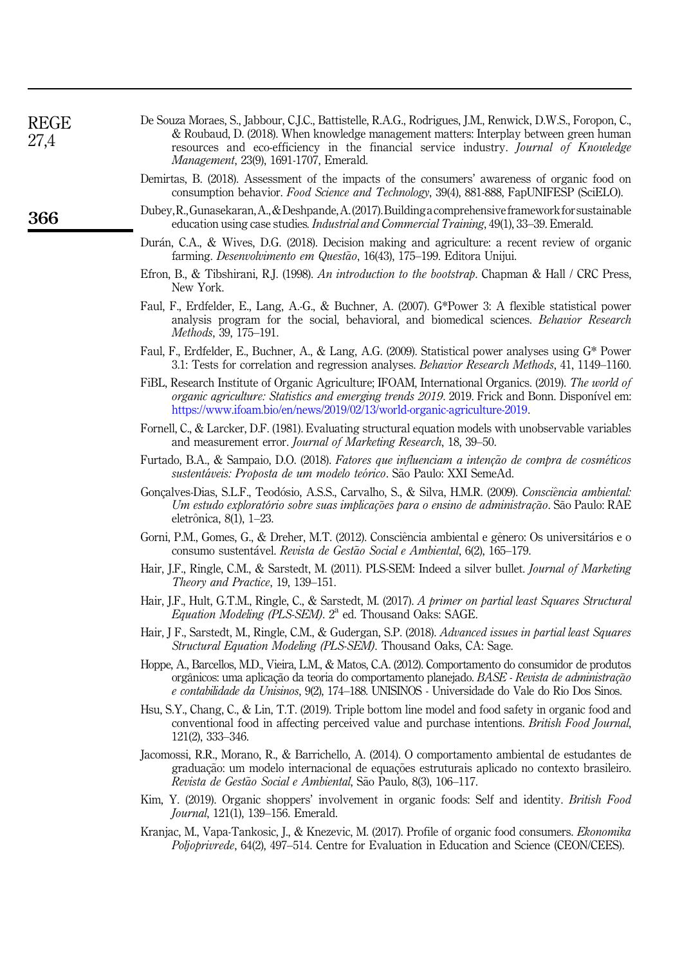| <b>REGE</b><br>27,4 | De Souza Moraes, S., Jabbour, C.J.C., Battistelle, R.A.G., Rodrigues, J.M., Renwick, D.W.S., Foropon, C.,<br>& Roubaud, D. (2018). When knowledge management matters: Interplay between green human<br>resources and eco-efficiency in the financial service industry. Journal of Knowledge<br>Management, 23(9), 1691-1707, Emerald. |
|---------------------|---------------------------------------------------------------------------------------------------------------------------------------------------------------------------------------------------------------------------------------------------------------------------------------------------------------------------------------|
|                     | Demirtas, B. (2018). Assessment of the impacts of the consumers' awareness of organic food on<br>consumption behavior. Food Science and Technology, 39(4), 881-888, FapUNIFESP (SciELO).                                                                                                                                              |
| 366                 | Dubey, R., Gunasekaran, A., & Deshpande, A. (2017). Building a comprehensive framework for sustainable<br>education using case studies. <i>Industrial and Commercial Training</i> , 49(1), 33–39. Emerald.                                                                                                                            |
|                     | Durán, C.A., & Wives, D.G. (2018). Decision making and agriculture: a recent review of organic<br>farming. Desenvolvimento em Questão, 16(43), 175-199. Editora Unijui.                                                                                                                                                               |
|                     | Efron, B., & Tibshirani, R.J. (1998). An introduction to the bootstrap. Chapman & Hall / CRC Press,<br>New York.                                                                                                                                                                                                                      |
|                     | Faul, F., Erdfelder, E., Lang, A.-G., & Buchner, A. (2007). G*Power 3: A flexible statistical power<br>analysis program for the social, behavioral, and biomedical sciences. Behavior Research<br><i>Methods</i> , 39, 175–191.                                                                                                       |
|                     | Faul, F., Erdfelder, E., Buchner, A., & Lang, A.G. (2009). Statistical power analyses using $G^*$ Power<br>3.1: Tests for correlation and regression analyses. <i>Behavior Research Methods</i> , 41, 1149–1160.                                                                                                                      |
|                     | FiBL, Research Institute of Organic Agriculture; IFOAM, International Organics. (2019). The world of<br>organic agriculture: Statistics and emerging trends 2019. 2019. Frick and Bonn. Disponível em:<br>https://www.ifoam.bio/en/news/2019/02/13/world-organic-agriculture-2019.                                                    |
|                     | Fornell, C., & Larcker, D.F. (1981). Evaluating structural equation models with unobservable variables<br>and measurement error. Journal of Marketing Research, 18, 39-50.                                                                                                                                                            |
|                     | Furtado, B.A., & Sampaio, D.O. (2018). Fatores que influenciam a intenção de compra de cosméticos<br>sustentáveis: Proposta de um modelo teórico. São Paulo: XXI SemeAd.                                                                                                                                                              |
|                     | Gonçalves-Dias, S.L.F., Teodósio, A.S.S., Carvalho, S., & Silva, H.M.R. (2009). Consciência ambiental:<br>Um estudo exploratório sobre suas implicações para o ensino de administração. São Paulo: RAE<br>eletrônica, 8(1), 1–23.                                                                                                     |
|                     | Gorni, P.M., Gomes, G., & Dreher, M.T. (2012). Consciência ambiental e gênero: Os universitários e o<br>consumo sustentável. Revista de Gestão Social e Ambiental, 6(2), 165-179.                                                                                                                                                     |
|                     | Hair, J.F., Ringle, C.M., & Sarstedt, M. (2011). PLS-SEM: Indeed a silver bullet. <i>Journal of Marketing</i><br>Theory and Practice, 19, 139-151.                                                                                                                                                                                    |
|                     | Hair, J.F., Hult, G.T.M., Ringle, C., & Sarstedt, M. (2017). A primer on partial least Squares Structural<br><i>Equation Modeling (PLS-SEM).</i> 2 <sup>a</sup> ed. Thousand Oaks: SAGE.                                                                                                                                              |
|                     | Hair, J F., Sarstedt, M., Ringle, C.M., & Gudergan, S.P. (2018). Advanced issues in partial least Squares<br><i>Structural Equation Modeling (PLS-SEM)</i> . Thousand Oaks, CA: Sage.                                                                                                                                                 |
|                     | Hoppe, A., Barcellos, M.D., Vieira, L.M., & Matos, C.A. (2012). Comportamento do consumidor de produtos<br>orgânicos: uma aplicação da teoria do comportamento planejado. BASE - Revista de administração<br>e contabilidade da Unisinos, 9(2), 174-188. UNISINOS - Universidade do Vale do Rio Dos Sinos.                            |
|                     | Hsu, S.Y., Chang, C., & Lin, T.T. (2019). Triple bottom line model and food safety in organic food and<br>conventional food in affecting perceived value and purchase intentions. <i>British Food Journal</i> ,<br>$121(2)$ , 333-346.                                                                                                |
|                     | Jacomossi, R.R., Morano, R., & Barrichello, A. (2014). O comportamento ambiental de estudantes de<br>graduação: um modelo internacional de equações estruturais aplicado no contexto brasileiro.<br>Revista de Gestão Social e Ambiental, São Paulo, 8(3), 106-117.                                                                   |
|                     | Kim, Y. (2019). Organic shoppers' involvement in organic foods: Self and identity. <i>British Food</i><br><i>Journal</i> , 121(1), 139–156. Emerald.                                                                                                                                                                                  |
|                     | Kranjac, M., Vapa-Tankosic, J., & Knezevic, M. (2017). Profile of organic food consumers. <i>Ekonomika</i><br>Poljoprivrede, 64(2), 497-514. Centre for Evaluation in Education and Science (CEON/CEES).                                                                                                                              |
|                     |                                                                                                                                                                                                                                                                                                                                       |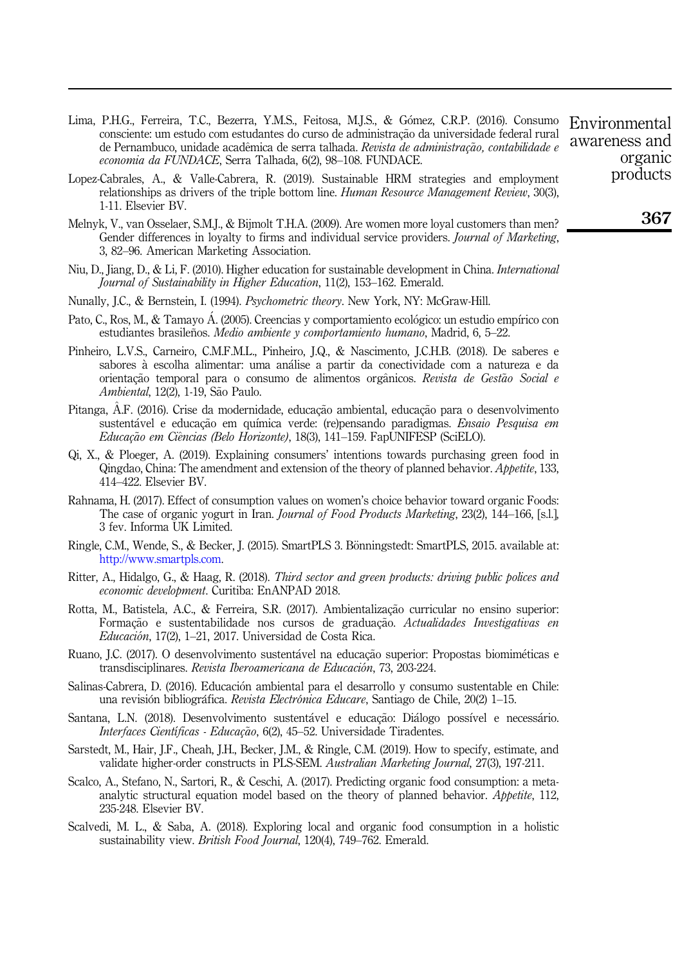- Lima, P.H.G., Ferreira, T.C., Bezerra, Y.M.S., Feitosa, M.J.S., & Gómez, C.R.P. (2016). Consumo consciente: um estudo com estudantes do curso de administração da universidade federal rural de Pernambuco, unidade acadêmica de serra talhada. Revista de administração, contabilidade e economia da FUNDACE, Serra Talhada, 6(2), 98–108. FUNDACE.
- Lopez-Cabrales, A., & Valle-Cabrera, R. (2019). Sustainable HRM strategies and employment relationships as drivers of the triple bottom line. *Human Resource Management Review*, 30(3), 1-11. Elsevier BV.
- Melnyk, V., van Osselaer, S.M.J., & Bijmolt T.H.A. (2009). Are women more loyal customers than men? Gender differences in loyalty to firms and individual service providers. *Journal of Marketing*, 3, 82–96. American Marketing Association.
- Niu, D., Jiang, D., & Li, F. (2010). Higher education for sustainable development in China. *International* Journal of Sustainability in Higher Education, 11(2), 153–162. Emerald.
- Nunally, J.C., & Bernstein, I. (1994). Psychometric theory. New York, NY: McGraw-Hill.
- Pato, C., Ros, M., & Tamayo Á. (2005). Creencias y comportamiento ecológico: un estudio empírico con estudiantes brasileños.  $Medio$  ambiente y comportamiento humano, Madrid, 6, 5–22.
- Pinheiro, L.V.S., Carneiro, C.M.F.M.L., Pinheiro, J.Q., & Nascimento, J.C.H.B. (2018). De saberes e sabores a escolha alimentar: uma analise a partir da conectividade com a natureza e da orientação temporal para o consumo de alimentos orgânicos. Revista de Gestão Social e Ambiental, 12(2), 1-19, São Paulo.
- Pitanga, A.F. (2016). Crise da modernidade, educação ambiental, educação para o desenvolvimento sustentável e educação em química verde: (re)pensando paradigmas. Ensaio Pesquisa em Educação em Ciências (Belo Horizonte), 18(3), 141–159. FapUNIFESP (SciELO).
- Qi, X., & Ploeger, A. (2019). Explaining consumers' intentions towards purchasing green food in Qingdao, China: The amendment and extension of the theory of planned behavior. Appetite, 133, 414–422. Elsevier BV.
- Rahnama, H. (2017). Effect of consumption values on women's choice behavior toward organic Foods: The case of organic yogurt in Iran. *Journal of Food Products Marketing*, 23(2), 144–166, [s.l.], 3 fev. Informa UK Limited.
- Ringle, C.M., Wende, S., & Becker, J. (2015). SmartPLS 3. Bönningstedt: SmartPLS, 2015. available at: [http://www.smartpls.com.](http://www.smartpls.com)
- Ritter, A., Hidalgo, G., & Haag, R. (2018). Third sector and green products: driving public polices and economic development. Curitiba: EnANPAD 2018.
- Rotta, M., Batistela, A.C., & Ferreira, S.R. (2017). Ambientalização curricular no ensino superior: Formação e sustentabilidade nos cursos de graduação. Actualidades Investigativas en Educacion, 17(2), 1–21, 2017. Universidad de Costa Rica.
- Ruano, J.C. (2017). O desenvolvimento sustentável na educação superior: Propostas biomiméticas e transdisciplinares. Revista Iberoamericana de Educacion, 73, 203-224.
- Salinas-Cabrera, D. (2016). Educacion ambiental para el desarrollo y consumo sustentable en Chile: una revisión bibliográfica. Revista Electrónica Educare, Santiago de Chile, 20(2) 1–15.
- Santana, L.N. (2018). Desenvolvimento sustentável e educação: Diálogo possível e necessário. Interfaces Científicas - Educação, 6(2), 45–52. Universidade Tiradentes.
- Sarstedt, M., Hair, J.F., Cheah, J.H., Becker, J.M., & Ringle, C.M. (2019). How to specify, estimate, and validate higher-order constructs in PLS-SEM. Australian Marketing Journal, 27(3), 197-211.
- Scalco, A., Stefano, N., Sartori, R., & Ceschi, A. (2017). Predicting organic food consumption: a metaanalytic structural equation model based on the theory of planned behavior. Appetite, 112, 235-248. Elsevier BV.
- Scalvedi, M. L., & Saba, A. (2018). Exploring local and organic food consumption in a holistic sustainability view. British Food Journal, 120(4), 749–762. Emerald.

Environmental awareness and organic products

367